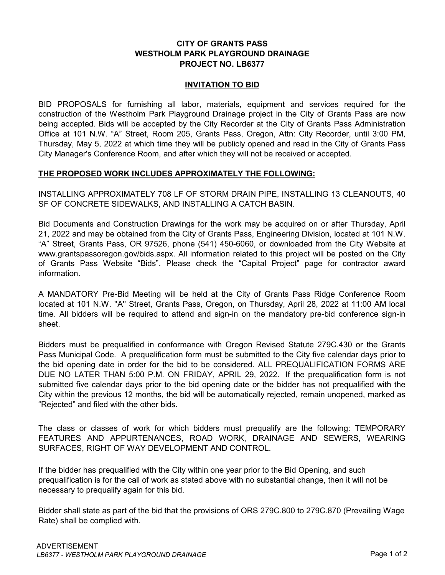# **CITY OF GRANTS PASS WESTHOLM PARK PLAYGROUND DRAINAGE PROJECT NO. LB6377**

#### **INVITATION TO BID**

BID PROPOSALS for furnishing all labor, materials, equipment and services required for the construction of the Westholm Park Playground Drainage project in the City of Grants Pass are now being accepted. Bids will be accepted by the City Recorder at the City of Grants Pass Administration Office at 101 N.W. "A" Street, Room 205, Grants Pass, Oregon, Attn: City Recorder, until 3:00 PM, Thursday, May 5, 2022 at which time they will be publicly opened and read in the City of Grants Pass City Manager's Conference Room, and after which they will not be received or accepted.

## **THE PROPOSED WORK INCLUDES APPROXIMATELY THE FOLLOWING:**

INSTALLING APPROXIMATELY 708 LF OF STORM DRAIN PIPE, INSTALLING 13 CLEANOUTS, 40 SF OF CONCRETE SIDEWALKS, AND INSTALLING A CATCH BASIN.

Bid Documents and Construction Drawings for the work may be acquired on or after Thursday, April 21, 2022 and may be obtained from the City of Grants Pass, Engineering Division, located at 101 N.W. "A" Street, Grants Pass, OR 97526, phone (541) 450-6060, or downloaded from the City Website at www.grantspassoregon.gov/bids.aspx. All information related to this project will be posted on the City of Grants Pass Website "Bids". Please check the "Capital Project" page for contractor award information.

A MANDATORY Pre-Bid Meeting will be held at the City of Grants Pass Ridge Conference Room located at 101 N.W. ''A'' Street, Grants Pass, Oregon, on Thursday, April 28, 2022 at 11:00 AM local time. All bidders will be required to attend and sign-in on the mandatory pre-bid conference sign-in sheet.

Bidders must be prequalified in conformance with Oregon Revised Statute 279C.430 or the Grants Pass Municipal Code. A prequalification form must be submitted to the City five calendar days prior to the bid opening date in order for the bid to be considered. ALL PREQUALIFICATION FORMS ARE DUE NO LATER THAN 5:00 P.M. ON FRIDAY, APRIL 29, 2022. If the prequalification form is not submitted five calendar days prior to the bid opening date or the bidder has not prequalified with the City within the previous 12 months, the bid will be automatically rejected, remain unopened, marked as "Rejected" and filed with the other bids.

The class or classes of work for which bidders must prequalify are the following: TEMPORARY FEATURES AND APPURTENANCES, ROAD WORK, DRAINAGE AND SEWERS, WEARING SURFACES, RIGHT OF WAY DEVELOPMENT AND CONTROL.

If the bidder has prequalified with the City within one year prior to the Bid Opening, and such prequalification is for the call of work as stated above with no substantial change, then it will not be necessary to prequalify again for this bid.

Bidder shall state as part of the bid that the provisions of ORS 279C.800 to 279C.870 (Prevailing Wage Rate) shall be complied with.